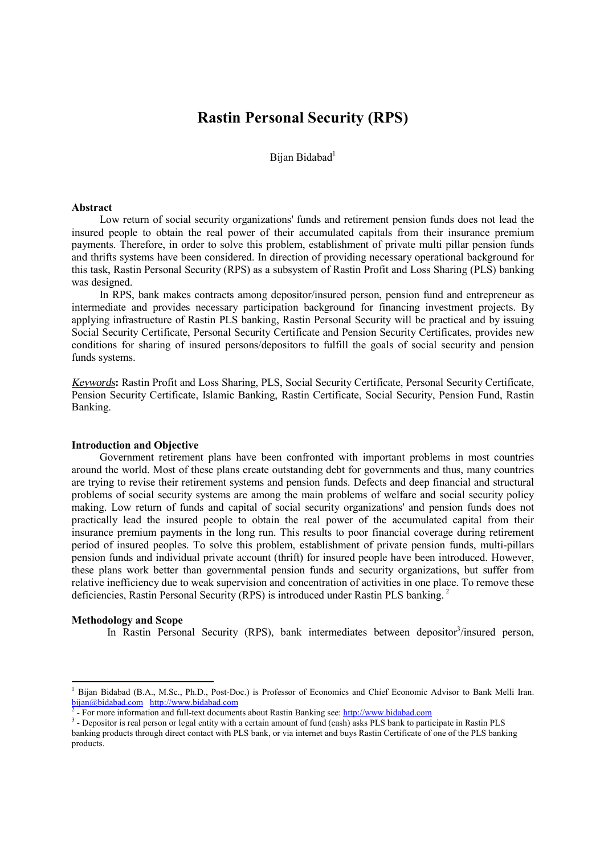# **Rastin Personal Security (RPS)**

Bijan Bidabad<sup>1</sup>

#### **Abstract**

Low return of social security organizations' funds and retirement pension funds does not lead the insured people to obtain the real power of their accumulated capitals from their insurance premium payments. Therefore, in order to solve this problem, establishment of private multi pillar pension funds and thrifts systems have been considered. In direction of providing necessary operational background for this task, Rastin Personal Security (RPS) as a subsystem of Rastin Profit and Loss Sharing (PLS) banking was designed.

In RPS, bank makes contracts among depositor/insured person, pension fund and entrepreneur as intermediate and provides necessary participation background for financing investment projects. By applying infrastructure of Rastin PLS banking, Rastin Personal Security will be practical and by issuing Social Security Certificate, Personal Security Certificate and Pension Security Certificates, provides new conditions for sharing of insured persons/depositors to fulfill the goals of social security and pension funds systems.

*Keywords***:** Rastin Profit and Loss Sharing, PLS, Social Security Certificate, Personal Security Certificate, Pension Security Certificate, Islamic Banking, Rastin Certificate, Social Security, Pension Fund, Rastin Banking.

#### **Introduction and Objective**

Government retirement plans have been confronted with important problems in most countries around the world. Most of these plans create outstanding debt for governments and thus, many countries are trying to revise their retirement systems and pension funds. Defects and deep financial and structural problems of social security systems are among the main problems of welfare and social security policy making. Low return of funds and capital of social security organizations' and pension funds does not practically lead the insured people to obtain the real power of the accumulated capital from their insurance premium payments in the long run. This results to poor financial coverage during retirement period of insured peoples. To solve this problem, establishment of private pension funds, multi-pillars pension funds and individual private account (thrift) for insured people have been introduced. However, these plans work better than governmental pension funds and security organizations, but suffer from relative inefficiency due to weak supervision and concentration of activities in one place. To remove these deficiencies, Rastin Personal Security (RPS) is introduced under Rastin PLS banking.<sup>2</sup>

#### **Methodology and Scope**

 $\overline{a}$ 

In Rastin Personal Security (RPS), bank intermediates between depositor<sup>3</sup>/insured person,

<sup>&</sup>lt;sup>1</sup> Bijan Bidabad (B.A., M.Sc., Ph.D., Post-Doc.) is Professor of Economics and Chief Economic Advisor to Bank Melli Iran.  $\frac{\text{big/} \text{display/}}{\text{per}}$  Equivalent Comparison and full to the degunance of  $\frac{\text{right}}{\text{per}}$ 

 <sup>-</sup> For more information and full-text documents about Rastin Banking see:<http://www.bidabad.com>

<sup>&</sup>lt;sup>3</sup> - Depositor is real person or legal entity with a certain amount of fund (cash) asks PLS bank to participate in Rastin PLS banking products through direct contact with PLS bank, or via internet and buys Rastin Certificate of one of the PLS banking products.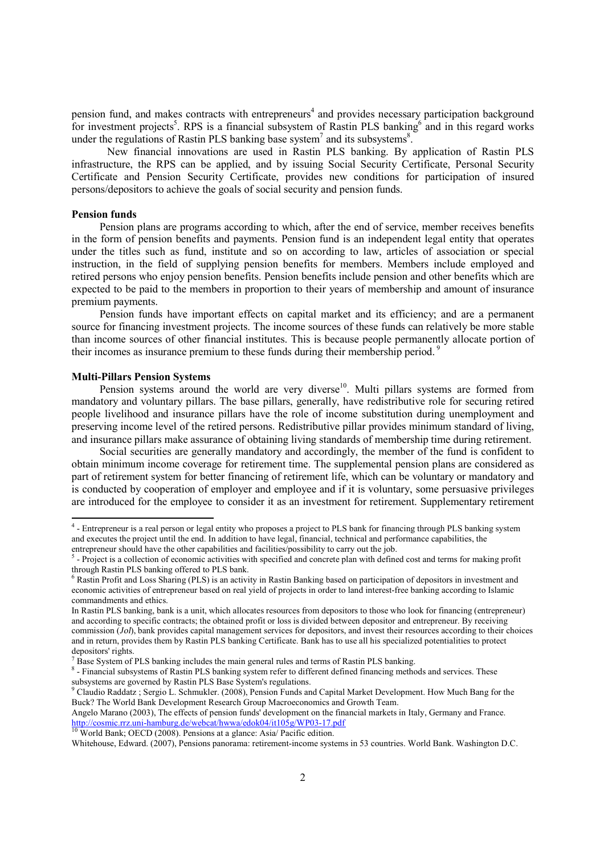pension fund, and makes contracts with entrepreneurs<sup>4</sup> and provides necessary participation background for investment projects<sup>5</sup>. RPS is a financial subsystem of Rastin PLS banking<sup>6</sup> and in this regard works under the regulations of Rastin PLS banking base system<sup>7</sup> and its subsystems<sup>8</sup>.

New financial innovations are used in Rastin PLS banking. By application of Rastin PLS infrastructure, the RPS can be applied, and by issuing Social Security Certificate, Personal Security Certificate and Pension Security Certificate, provides new conditions for participation of insured persons/depositors to achieve the goals of social security and pension funds.

#### **Pension funds**

Pension plans are programs according to which, after the end of service, member receives benefits in the form of pension benefits and payments. Pension fund is an independent legal entity that operates under the titles such as fund, institute and so on according to law, articles of association or special instruction, in the field of supplying pension benefits for members. Members include employed and retired persons who enjoy pension benefits. Pension benefits include pension and other benefits which are expected to be paid to the members in proportion to their years of membership and amount of insurance premium payments.

Pension funds have important effects on capital market and its efficiency; and are a permanent source for financing investment projects. The income sources of these funds can relatively be more stable than income sources of other financial institutes. This is because people permanently allocate portion of their incomes as insurance premium to these funds during their membership period.<sup>9</sup>

#### **Multi-Pillars Pension Systems**

Pension systems around the world are very diverse<sup>10</sup>. Multi pillars systems are formed from mandatory and voluntary pillars. The base pillars, generally, have redistributive role for securing retired people livelihood and insurance pillars have the role of income substitution during unemployment and preserving income level of the retired persons. Redistributive pillar provides minimum standard of living, and insurance pillars make assurance of obtaining living standards of membership time during retirement.

Social securities are generally mandatory and accordingly, the member of the fund is confident to obtain minimum income coverage for retirement time. The supplemental pension plans are considered as part of retirement system for better financing of retirement life, which can be voluntary or mandatory and is conducted by cooperation of employer and employee and if it is voluntary, some persuasive privileges are introduced for the employee to consider it as an investment for retirement. Supplementary retirement

<sup>&</sup>lt;sup>4</sup> - Entrepreneur is a real person or legal entity who proposes a project to PLS bank for financing through PLS banking system and executes the project until the end. In addition to have legal, financial, technical and performance capabilities, the entrepreneur should have the other capabilities and facilities/possibility to carry out the job.

 $5 -$  Project is a collection of economic activities with specified and concrete plan with defined cost and terms for making profit through Rastin PLS banking offered to PLS bank.

<sup>6</sup> Rastin Profit and Loss Sharing (PLS) is an activity in Rastin Banking based on participation of depositors in investment and economic activities of entrepreneur based on real yield of projects in order to land interest-free banking according to Islamic commandments and ethics.

In Rastin PLS banking, bank is a unit, which allocates resources from depositors to those who look for financing (entrepreneur) and according to specific contracts; the obtained profit or loss is divided between depositor and entrepreneur. By receiving commission (*Jol*), bank provides capital management services for depositors, and invest their resources according to their choices and in return, provides them by Rastin PLS banking Certificate. Bank has to use all his specialized potentialities to protect depositors' rights.

 $\frac{7}{7}$  Base System of PLS banking includes the main general rules and terms of Rastin PLS banking.

<sup>&</sup>lt;sup>8</sup> - Financial subsystems of Rastin PLS banking system refer to different defined financing methods and services. These subsystems are governed by Rastin PLS Base System's regulations.

<sup>9</sup> Claudio Raddatz ; Sergio L. Schmukler. (2008), Pension Funds and Capital Market Development. How Much Bang for the Buck? The World Bank Development Research Group Macroeconomics and Growth Team.

Angelo Marano (2003), The effects of pension funds' development on the financial markets in Italy, Germany and France. <http://cosmic.rrz.uni-hamburg.de/webcat/hwwa/edok04/it105g/WP03-17.pdf>

<sup>&</sup>lt;sup>10</sup> World Bank; OECD (2008). Pensions at a glance: Asia/ Pacific edition.

Whitehouse, Edward. (2007), Pensions panorama: retirement-income systems in 53 countries. World Bank. Washington D.C.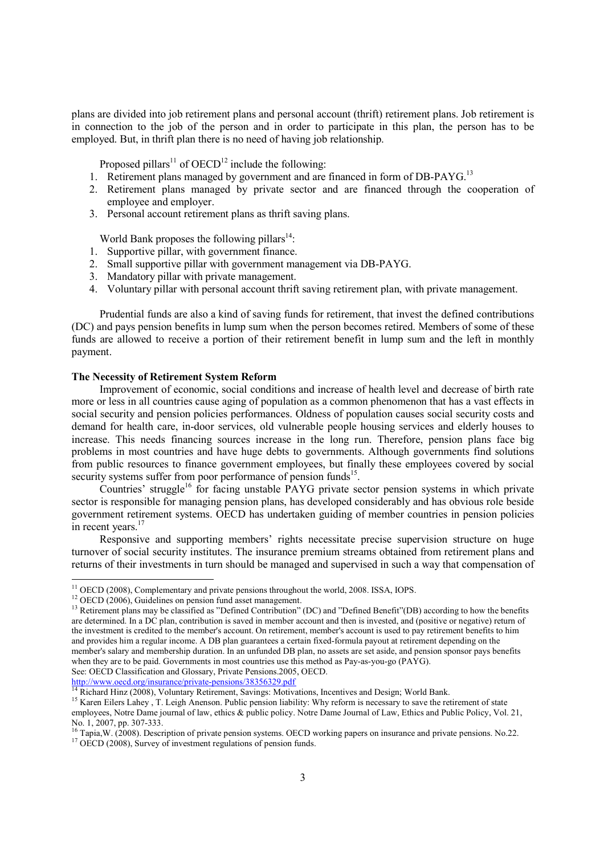plans are divided into job retirement plans and personal account (thrift) retirement plans. Job retirement is in connection to the job of the person and in order to participate in this plan, the person has to be employed. But, in thrift plan there is no need of having job relationship.

Proposed pillars<sup>11</sup> of  $OECD<sup>12</sup>$  include the following:

- 1. Retirement plans managed by government and are financed in form of DB-PAYG.<sup>13</sup>
- 2. Retirement plans managed by private sector and are financed through the cooperation of employee and employer.
- 3. Personal account retirement plans as thrift saving plans.

World Bank proposes the following pillars<sup>14</sup>:

- 1. Supportive pillar, with government finance.
- 2. Small supportive pillar with government management via DB-PAYG.
- 3. Mandatory pillar with private management.
- 4. Voluntary pillar with personal account thrift saving retirement plan, with private management.

Prudential funds are also a kind of saving funds for retirement, that invest the defined contributions (DC) and pays pension benefits in lump sum when the person becomes retired. Members of some of these funds are allowed to receive a portion of their retirement benefit in lump sum and the left in monthly payment.

## **The Necessity of Retirement System Reform**

Improvement of economic, social conditions and increase of health level and decrease of birth rate more or less in all countries cause aging of population as a common phenomenon that has a vast effects in social security and pension policies performances. Oldness of population causes social security costs and demand for health care, in-door services, old vulnerable people housing services and elderly houses to increase. This needs financing sources increase in the long run. Therefore, pension plans face big problems in most countries and have huge debts to governments. Although governments find solutions from public resources to finance government employees, but finally these employees covered by social security systems suffer from poor performance of pension funds<sup>15</sup>.

Countries' struggle<sup>16</sup> for facing unstable PAYG private sector pension systems in which private sector is responsible for managing pension plans, has developed considerably and has obvious role beside government retirement systems. OECD has undertaken guiding of member countries in pension policies in recent years.<sup>17</sup>

Responsive and supporting members' rights necessitate precise supervision structure on huge turnover of social security institutes. The insurance premium streams obtained from retirement plans and returns of their investments in turn should be managed and supervised in such a way that compensation of

 $\overline{a}$ 

http://www.oecd.org/insurance/private-pensions/38356329.pdf<br>
<sup>14</sup> Bishard II. (2000) 11.

<sup>&</sup>lt;sup>11</sup> OECD (2008), Complementary and private pensions throughout the world, 2008. ISSA, IOPS.

<sup>&</sup>lt;sup>12</sup> OECD (2006), Guidelines on pension fund asset management.

<sup>&</sup>lt;sup>13</sup> Retirement plans may be classified as "Defined Contribution" (DC) and "Defined Benefit" (DB) according to how the benefits are determined. In a DC plan, contribution is saved in member account and then is invested, and (positive or negative) return of the investment is credited to the member's account. On retirement, member's account is used to pay retirement benefits to him and provides him a regular income. A DB plan guarantees a certain fixed-formula payout at retirement depending on the member's salary and membership duration. In an unfunded DB plan, no assets are set aside, and pension sponsor pays benefits when they are to be paid. Governments in most countries use this method as Pay-as-you-go (PAYG). See: OECD Classification and Glossary, Private Pensions.2005, OECD.

<sup>&</sup>lt;sup>1</sup> Richard Hinz (2008), Voluntary Retirement, Savings: Motivations, Incentives and Design; World Bank.

<sup>&</sup>lt;sup>15</sup> Karen Eilers Lahey, T. Leigh Anenson. Public pension liability: Why reform is necessary to save the retirement of state employees, Notre Dame journal of law, ethics & public policy. Notre Dame Journal of Law, Ethics and Public Policy, Vol. 21, No. 1, 2007, pp. 307-333.

<sup>&</sup>lt;sup>16</sup> Tapia, W. (2008). Description of private pension systems. OECD working papers on insurance and private pensions. No.22. <sup>17</sup> OECD (2008), Survey of investment regulations of pension funds.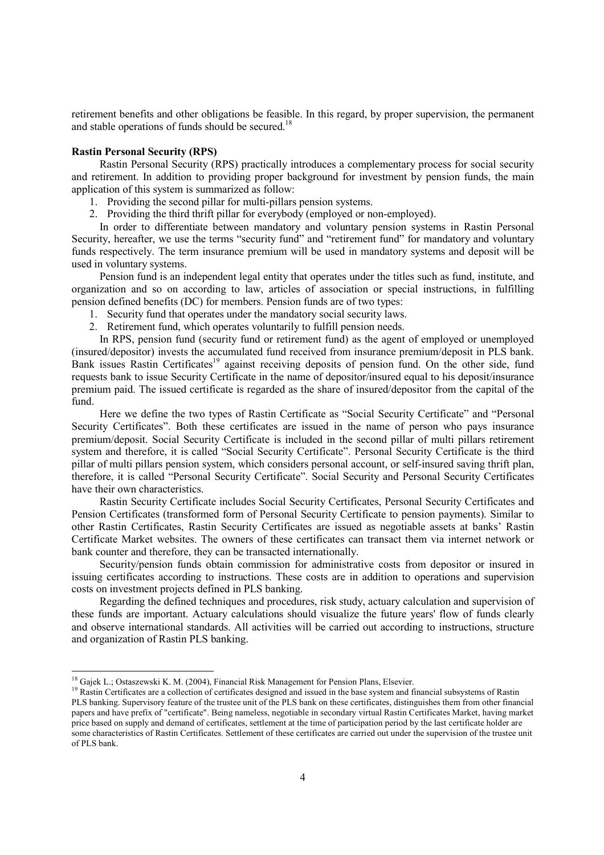retirement benefits and other obligations be feasible. In this regard, by proper supervision, the permanent and stable operations of funds should be secured.<sup>18</sup>

#### **Rastin Personal Security (RPS)**

Rastin Personal Security (RPS) practically introduces a complementary process for social security and retirement. In addition to providing proper background for investment by pension funds, the main application of this system is summarized as follow:

- 1. Providing the second pillar for multi-pillars pension systems.
- 2. Providing the third thrift pillar for everybody (employed or non-employed).

In order to differentiate between mandatory and voluntary pension systems in Rastin Personal Security, hereafter, we use the terms "security fund" and "retirement fund" for mandatory and voluntary funds respectively. The term insurance premium will be used in mandatory systems and deposit will be used in voluntary systems.

Pension fund is an independent legal entity that operates under the titles such as fund, institute, and organization and so on according to law, articles of association or special instructions, in fulfilling pension defined benefits (DC) for members. Pension funds are of two types:

- 1. Security fund that operates under the mandatory social security laws.
- 2. Retirement fund, which operates voluntarily to fulfill pension needs.

In RPS, pension fund (security fund or retirement fund) as the agent of employed or unemployed (insured/depositor) invests the accumulated fund received from insurance premium/deposit in PLS bank. Bank issues Rastin Certificates<sup>19</sup> against receiving deposits of pension fund. On the other side, fund requests bank to issue Security Certificate in the name of depositor/insured equal to his deposit/insurance premium paid. The issued certificate is regarded as the share of insured/depositor from the capital of the fund.

Here we define the two types of Rastin Certificate as "Social Security Certificate" and "Personal Security Certificates". Both these certificates are issued in the name of person who pays insurance premium/deposit. Social Security Certificate is included in the second pillar of multi pillars retirement system and therefore, it is called "Social Security Certificate". Personal Security Certificate is the third pillar of multi pillars pension system, which considers personal account, or self-insured saving thrift plan, therefore, it is called "Personal Security Certificate". Social Security and Personal Security Certificates have their own characteristics.

Rastin Security Certificate includes Social Security Certificates, Personal Security Certificates and Pension Certificates (transformed form of Personal Security Certificate to pension payments). Similar to other Rastin Certificates, Rastin Security Certificates are issued as negotiable assets at banks' Rastin Certificate Market websites. The owners of these certificates can transact them via internet network or bank counter and therefore, they can be transacted internationally.

Security/pension funds obtain commission for administrative costs from depositor or insured in issuing certificates according to instructions. These costs are in addition to operations and supervision costs on investment projects defined in PLS banking.

Regarding the defined techniques and procedures, risk study, actuary calculation and supervision of these funds are important. Actuary calculations should visualize the future years' flow of funds clearly and observe international standards. All activities will be carried out according to instructions, structure and organization of Rastin PLS banking.

 $\overline{a}$ 

<sup>&</sup>lt;sup>18</sup> Gajek L.; Ostaszewski K. M. (2004), Financial Risk Management for Pension Plans, Elsevier.

<sup>&</sup>lt;sup>19</sup> Rastin Certificates are a collection of certificates designed and issued in the base system and financial subsystems of Rastin PLS banking. Supervisory feature of the trustee unit of the PLS bank on these certificates, distinguishes them from other financial papers and have prefix of "certificate". Being nameless, negotiable in secondary virtual Rastin Certificates Market, having market price based on supply and demand of certificates, settlement at the time of participation period by the last certificate holder are some characteristics of Rastin Certificates. Settlement of these certificates are carried out under the supervision of the trustee unit of PLS bank.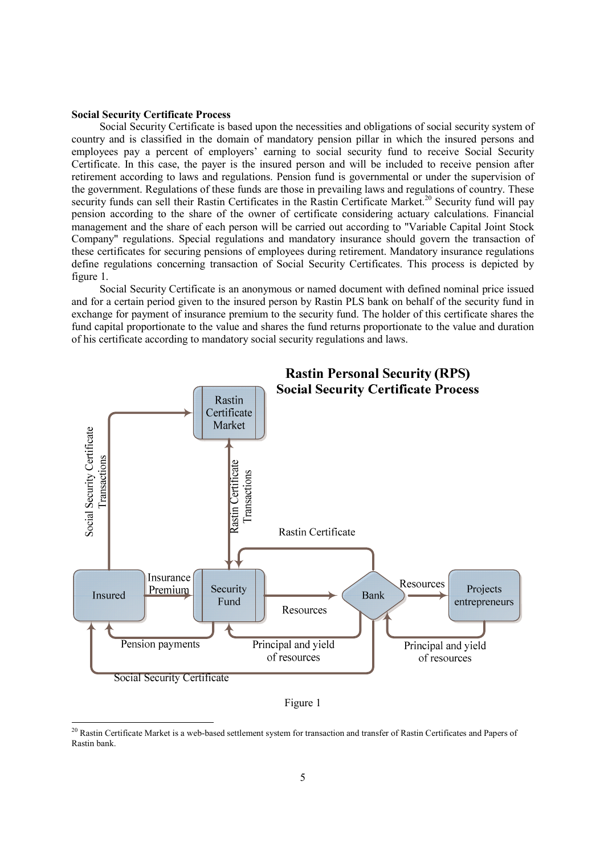#### **Social Security Certificate Process**

 $\overline{a}$ 

Social Security Certificate is based upon the necessities and obligations of social security system of country and is classified in the domain of mandatory pension pillar in which the insured persons and employees pay a percent of employers' earning to social security fund to receive Social Security Certificate. In this case, the payer is the insured person and will be included to receive pension after retirement according to laws and regulations. Pension fund is governmental or under the supervision of the government. Regulations of these funds are those in prevailing laws and regulations of country. These security funds can sell their Rastin Certificates in the Rastin Certificate Market.<sup>20</sup> Security fund will pay pension according to the share of the owner of certificate considering actuary calculations. Financial management and the share of each person will be carried out according to "Variable Capital Joint Stock Company" regulations. Special regulations and mandatory insurance should govern the transaction of these certificates for securing pensions of employees during retirement. Mandatory insurance regulations define regulations concerning transaction of Social Security Certificates. This process is depicted by figure 1.

Social Security Certificate is an anonymous or named document with defined nominal price issued and for a certain period given to the insured person by Rastin PLS bank on behalf of the security fund in exchange for payment of insurance premium to the security fund. The holder of this certificate shares the fund capital proportionate to the value and shares the fund returns proportionate to the value and duration of his certificate according to mandatory social security regulations and laws.



Figure 1

<sup>&</sup>lt;sup>20</sup> Rastin Certificate Market is a web-based settlement system for transaction and transfer of Rastin Certificates and Papers of Rastin bank.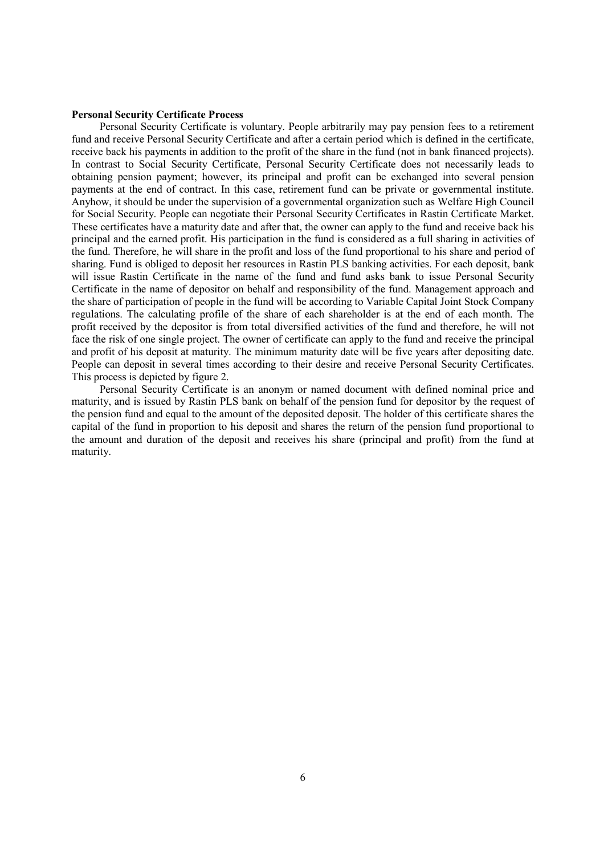#### **Personal Security Certificate Process**

Personal Security Certificate is voluntary. People arbitrarily may pay pension fees to a retirement fund and receive Personal Security Certificate and after a certain period which is defined in the certificate, receive back his payments in addition to the profit of the share in the fund (not in bank financed projects). In contrast to Social Security Certificate, Personal Security Certificate does not necessarily leads to obtaining pension payment; however, its principal and profit can be exchanged into several pension payments at the end of contract. In this case, retirement fund can be private or governmental institute. Anyhow, it should be under the supervision of a governmental organization such as Welfare High Council for Social Security. People can negotiate their Personal Security Certificates in Rastin Certificate Market. These certificates have a maturity date and after that, the owner can apply to the fund and receive back his principal and the earned profit. His participation in the fund is considered as a full sharing in activities of the fund. Therefore, he will share in the profit and loss of the fund proportional to his share and period of sharing. Fund is obliged to deposit her resources in Rastin PLS banking activities. For each deposit, bank will issue Rastin Certificate in the name of the fund and fund asks bank to issue Personal Security Certificate in the name of depositor on behalf and responsibility of the fund. Management approach and the share of participation of people in the fund will be according to Variable Capital Joint Stock Company regulations. The calculating profile of the share of each shareholder is at the end of each month. The profit received by the depositor is from total diversified activities of the fund and therefore, he will not face the risk of one single project. The owner of certificate can apply to the fund and receive the principal and profit of his deposit at maturity. The minimum maturity date will be five years after depositing date. People can deposit in several times according to their desire and receive Personal Security Certificates. This process is depicted by figure 2.

Personal Security Certificate is an anonym or named document with defined nominal price and maturity, and is issued by Rastin PLS bank on behalf of the pension fund for depositor by the request of the pension fund and equal to the amount of the deposited deposit. The holder of this certificate shares the capital of the fund in proportion to his deposit and shares the return of the pension fund proportional to the amount and duration of the deposit and receives his share (principal and profit) from the fund at maturity.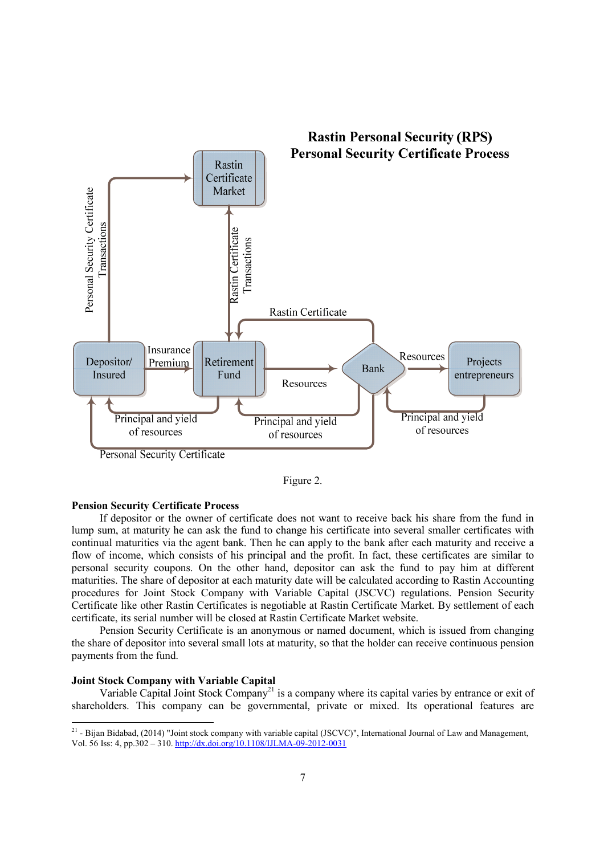

Figure 2.

# **Pension Security Certificate Process**

If depositor or the owner of certificate does not want to receive back his share from the fund in lump sum, at maturity he can ask the fund to change his certificate into several smaller certificates with continual maturities via the agent bank. Then he can apply to the bank after each maturity and receive a flow of income, which consists of his principal and the profit. In fact, these certificates are similar to personal security coupons. On the other hand, depositor can ask the fund to pay him at different maturities. The share of depositor at each maturity date will be calculated according to Rastin Accounting procedures for Joint Stock Company with Variable Capital (JSCVC) regulations. Pension Security Certificate like other Rastin Certificates is negotiable at Rastin Certificate Market. By settlement of each certificate, its serial number will be closed at Rastin Certificate Market website.

Pension Security Certificate is an anonymous or named document, which is issued from changing the share of depositor into several small lots at maturity, so that the holder can receive continuous pension payments from the fund.

#### **Joint Stock Company with Variable Capital**

Variable Capital Joint Stock Company<sup>21</sup> is a company where its capital varies by entrance or exit of shareholders. This company can be governmental, private or mixed. Its operational features are

<sup>&</sup>lt;sup>21</sup> - Bijan Bidabad, (2014) "Joint stock company with variable capital (JSCVC)", International Journal of Law and Management, Vol. 56 Iss: 4, pp.302 – 310. <http://dx.doi.org/10.1108/IJLMA-09-2012-0031>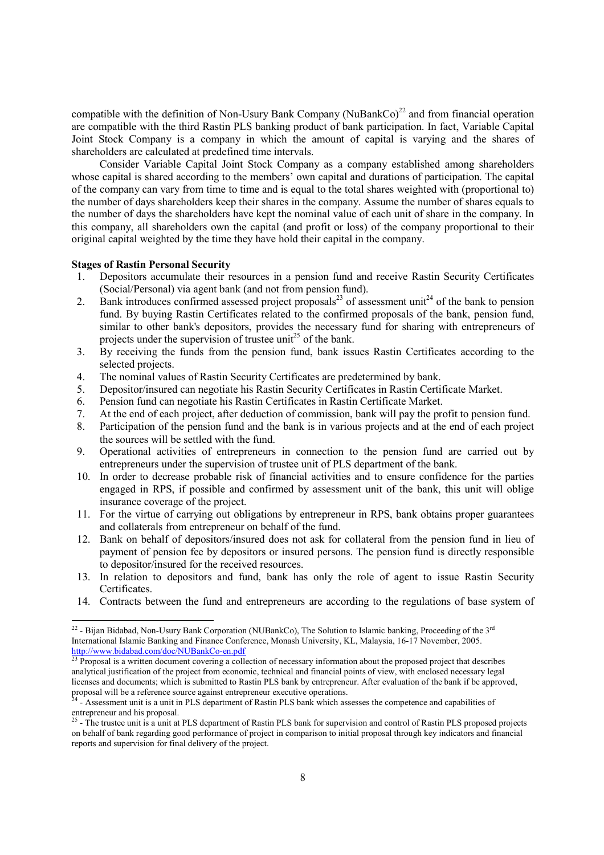compatible with the definition of Non-Usury Bank Company (NuBankCo)<sup>22</sup> and from financial operation are compatible with the third Rastin PLS banking product of bank participation. In fact, Variable Capital Joint Stock Company is a company in which the amount of capital is varying and the shares of shareholders are calculated at predefined time intervals.

Consider Variable Capital Joint Stock Company as a company established among shareholders whose capital is shared according to the members' own capital and durations of participation. The capital of the company can vary from time to time and is equal to the total shares weighted with (proportional to) the number of days shareholders keep their shares in the company. Assume the number of shares equals to the number of days the shareholders have kept the nominal value of each unit of share in the company. In this company, all shareholders own the capital (and profit or loss) of the company proportional to their original capital weighted by the time they have hold their capital in the company.

#### **Stages of Rastin Personal Security**

- 1. Depositors accumulate their resources in a pension fund and receive Rastin Security Certificates (Social/Personal) via agent bank (and not from pension fund).
- 2. Bank introduces confirmed assessed project proposals<sup>23</sup> of assessment unit<sup>24</sup> of the bank to pension fund. By buying Rastin Certificates related to the confirmed proposals of the bank, pension fund, similar to other bank's depositors, provides the necessary fund for sharing with entrepreneurs of projects under the supervision of trustee unit<sup>25</sup> of the bank.
- 3. By receiving the funds from the pension fund, bank issues Rastin Certificates according to the selected projects.
- 4. The nominal values of Rastin Security Certificates are predetermined by bank.
- 5. Depositor/insured can negotiate his Rastin Security Certificates in Rastin Certificate Market.
- 6. Pension fund can negotiate his Rastin Certificates in Rastin Certificate Market.
- 7. At the end of each project, after deduction of commission, bank will pay the profit to pension fund.
- 8. Participation of the pension fund and the bank is in various projects and at the end of each project the sources will be settled with the fund.
- 9. Operational activities of entrepreneurs in connection to the pension fund are carried out by entrepreneurs under the supervision of trustee unit of PLS department of the bank.
- 10. In order to decrease probable risk of financial activities and to ensure confidence for the parties engaged in RPS, if possible and confirmed by assessment unit of the bank, this unit will oblige insurance coverage of the project.
- 11. For the virtue of carrying out obligations by entrepreneur in RPS, bank obtains proper guarantees and collaterals from entrepreneur on behalf of the fund.
- 12. Bank on behalf of depositors/insured does not ask for collateral from the pension fund in lieu of payment of pension fee by depositors or insured persons. The pension fund is directly responsible to depositor/insured for the received resources.
- 13. In relation to depositors and fund, bank has only the role of agent to issue Rastin Security Certificates.
- 14. Contracts between the fund and entrepreneurs are according to the regulations of base system of

<sup>&</sup>lt;sup>22</sup> - Bijan Bidabad, Non-Usury Bank Corporation (NUBankCo), The Solution to Islamic banking, Proceeding of the 3<sup>rd</sup> International Islamic Banking and Finance Conference, Monash University, KL, Malaysia, 16-17 November, 2005. <http://www.bidabad.com/doc/NUBankCo-en.pdf>

 $23$  Proposal is a written document covering a collection of necessary information about the proposed project that describes analytical justification of the project from economic, technical and financial points of view, with enclosed necessary legal licenses and documents; which is submitted to Rastin PLS bank by entrepreneur. After evaluation of the bank if be approved,

proposal will be a reference source against entrepreneur executive operations.<br><sup>24</sup> - Assessment unit is a unit in PLS department of Rastin PLS bank which assesses the competence and capabilities of entrepreneur and his proposal.<br><sup>25</sup> - The trustee unit is a unit at PLS department of Rastin PLS bank for supervision and control of Rastin PLS proposed projects

on behalf of bank regarding good performance of project in comparison to initial proposal through key indicators and financial reports and supervision for final delivery of the project.